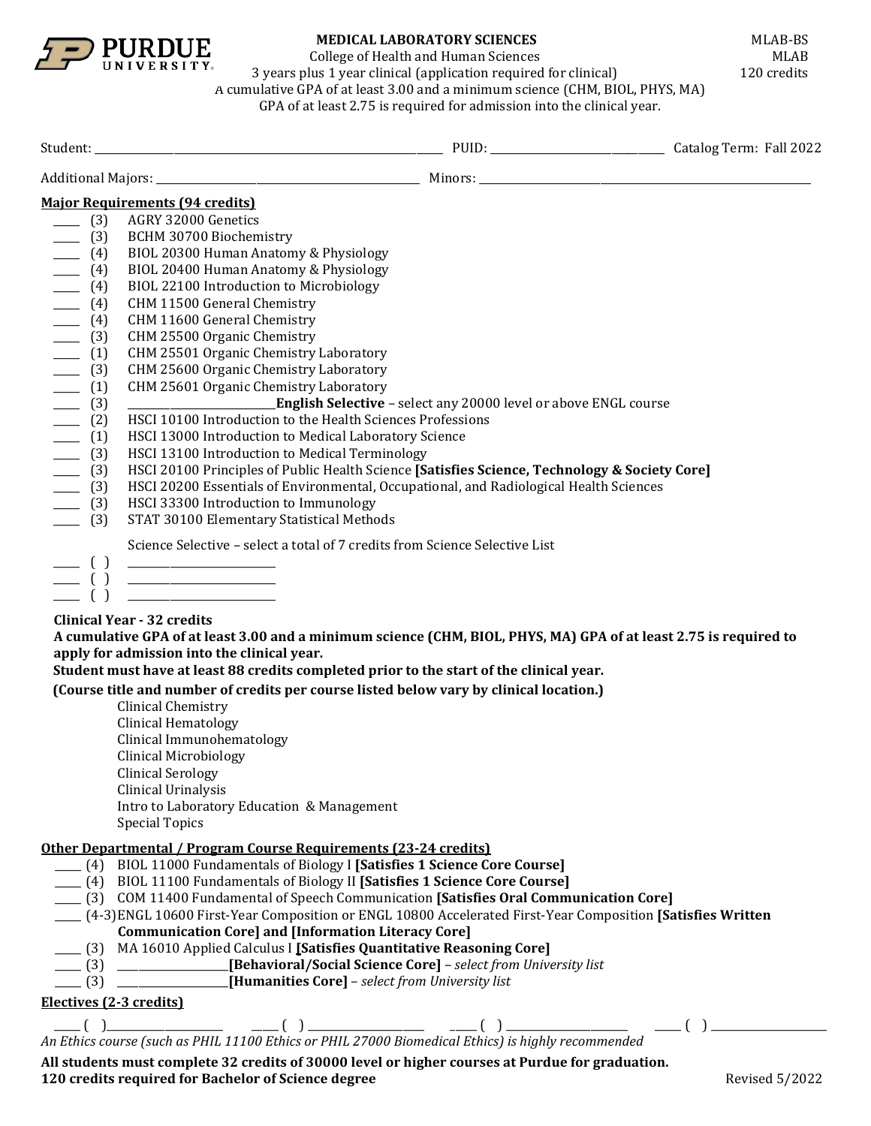

College of Health and Human Sciences<br>
lus 1 year clinical (application required for clinical) 120 credits

3 years plus  $1$  year clinical (application required for clinical) A cumulative GPA of at least 3.00 and a minimum science (CHM, BIOL, PHYS, MA) GPA of at least 2.75 is required for admission into the clinical year.

|                                                                                                                                                                                                                                                                                                                                                                                                                                                                                                                                                                                                                                       | <b>Major Requirements (94 credits)</b>                                                                                                                                                                                                                                                            |                                                                        |  |
|---------------------------------------------------------------------------------------------------------------------------------------------------------------------------------------------------------------------------------------------------------------------------------------------------------------------------------------------------------------------------------------------------------------------------------------------------------------------------------------------------------------------------------------------------------------------------------------------------------------------------------------|---------------------------------------------------------------------------------------------------------------------------------------------------------------------------------------------------------------------------------------------------------------------------------------------------|------------------------------------------------------------------------|--|
| $- (3)$                                                                                                                                                                                                                                                                                                                                                                                                                                                                                                                                                                                                                               | AGRY 32000 Genetics                                                                                                                                                                                                                                                                               |                                                                        |  |
| $- (3)$                                                                                                                                                                                                                                                                                                                                                                                                                                                                                                                                                                                                                               | BCHM 30700 Biochemistry                                                                                                                                                                                                                                                                           |                                                                        |  |
| $- (4)$                                                                                                                                                                                                                                                                                                                                                                                                                                                                                                                                                                                                                               | BIOL 20300 Human Anatomy & Physiology                                                                                                                                                                                                                                                             |                                                                        |  |
| $- (4)$                                                                                                                                                                                                                                                                                                                                                                                                                                                                                                                                                                                                                               | BIOL 20400 Human Anatomy & Physiology                                                                                                                                                                                                                                                             |                                                                        |  |
| $- (4)$                                                                                                                                                                                                                                                                                                                                                                                                                                                                                                                                                                                                                               | BIOL 22100 Introduction to Microbiology                                                                                                                                                                                                                                                           |                                                                        |  |
| $- (4)$                                                                                                                                                                                                                                                                                                                                                                                                                                                                                                                                                                                                                               | CHM 11500 General Chemistry                                                                                                                                                                                                                                                                       |                                                                        |  |
|                                                                                                                                                                                                                                                                                                                                                                                                                                                                                                                                                                                                                                       | CHM 11600 General Chemistry                                                                                                                                                                                                                                                                       |                                                                        |  |
| $\begin{array}{r} \underline{\hspace{1cm}} \underline{\hspace{1cm}} \underline{\hspace{1cm}} \underline{\hspace{1cm}} \underline{\hspace{1cm}} \underline{\hspace{1cm}} \underline{\hspace{1cm}} \underline{\hspace{1cm}} \underline{\hspace{1cm}} \underline{\hspace{1cm}} \underline{\hspace{1cm}} \underline{\hspace{1cm}} \underline{\hspace{1cm}} \underline{\hspace{1cm}} \underline{\hspace{1cm}} \underline{\hspace{1cm}} \underline{\hspace{1cm}} \underline{\hspace{1cm}} \underline{\hspace{1cm}} \underline{\hspace{1cm}} \underline{\hspace{1cm}} \underline{\hspace{1cm}} \underline{\hspace{1cm}} \underline{\hspace{$ | CHM 25500 Organic Chemistry                                                                                                                                                                                                                                                                       |                                                                        |  |
|                                                                                                                                                                                                                                                                                                                                                                                                                                                                                                                                                                                                                                       | CHM 25501 Organic Chemistry Laboratory                                                                                                                                                                                                                                                            |                                                                        |  |
|                                                                                                                                                                                                                                                                                                                                                                                                                                                                                                                                                                                                                                       | CHM 25600 Organic Chemistry Laboratory                                                                                                                                                                                                                                                            |                                                                        |  |
|                                                                                                                                                                                                                                                                                                                                                                                                                                                                                                                                                                                                                                       | CHM 25601 Organic Chemistry Laboratory                                                                                                                                                                                                                                                            |                                                                        |  |
|                                                                                                                                                                                                                                                                                                                                                                                                                                                                                                                                                                                                                                       | <u> 1980 - Johann Barbara, martxa al</u>                                                                                                                                                                                                                                                          | <b>English Selective - select any 20000 level or above ENGL course</b> |  |
|                                                                                                                                                                                                                                                                                                                                                                                                                                                                                                                                                                                                                                       | HSCI 10100 Introduction to the Health Sciences Professions                                                                                                                                                                                                                                        |                                                                        |  |
|                                                                                                                                                                                                                                                                                                                                                                                                                                                                                                                                                                                                                                       | HSCI 13000 Introduction to Medical Laboratory Science                                                                                                                                                                                                                                             |                                                                        |  |
|                                                                                                                                                                                                                                                                                                                                                                                                                                                                                                                                                                                                                                       | HSCI 13100 Introduction to Medical Terminology                                                                                                                                                                                                                                                    |                                                                        |  |
| $\frac{1}{\sqrt{3}}$ (3)                                                                                                                                                                                                                                                                                                                                                                                                                                                                                                                                                                                                              | HSCI 20100 Principles of Public Health Science [Satisfies Science, Technology & Society Core]                                                                                                                                                                                                     |                                                                        |  |
| $- (3)$                                                                                                                                                                                                                                                                                                                                                                                                                                                                                                                                                                                                                               | HSCI 20200 Essentials of Environmental, Occupational, and Radiological Health Sciences                                                                                                                                                                                                            |                                                                        |  |
| $- (3)$                                                                                                                                                                                                                                                                                                                                                                                                                                                                                                                                                                                                                               | HSCI 33300 Introduction to Immunology                                                                                                                                                                                                                                                             |                                                                        |  |
| $\frac{1}{\sqrt{3}}$                                                                                                                                                                                                                                                                                                                                                                                                                                                                                                                                                                                                                  | STAT 30100 Elementary Statistical Methods                                                                                                                                                                                                                                                         |                                                                        |  |
|                                                                                                                                                                                                                                                                                                                                                                                                                                                                                                                                                                                                                                       | Science Selective - select a total of 7 credits from Science Selective List                                                                                                                                                                                                                       |                                                                        |  |
| $\equiv$ ( )                                                                                                                                                                                                                                                                                                                                                                                                                                                                                                                                                                                                                          |                                                                                                                                                                                                                                                                                                   |                                                                        |  |
|                                                                                                                                                                                                                                                                                                                                                                                                                                                                                                                                                                                                                                       | $\begin{tabular}{c} \begin{tabular}{c} \textbf{---} \\ \textbf{---} \end{tabular} \end{tabular}$                                                                                                                                                                                                  |                                                                        |  |
|                                                                                                                                                                                                                                                                                                                                                                                                                                                                                                                                                                                                                                       |                                                                                                                                                                                                                                                                                                   |                                                                        |  |
|                                                                                                                                                                                                                                                                                                                                                                                                                                                                                                                                                                                                                                       | <b>Clinical Year - 32 credits</b><br>A cumulative GPA of at least 3.00 and a minimum science (CHM, BIOL, PHYS, MA) GPA of at least 2.75 is required to<br>apply for admission into the clinical year.<br>Student must have at least 88 credits completed prior to the start of the clinical year. |                                                                        |  |
|                                                                                                                                                                                                                                                                                                                                                                                                                                                                                                                                                                                                                                       | (Course title and number of credits per course listed below vary by clinical location.)                                                                                                                                                                                                           |                                                                        |  |
|                                                                                                                                                                                                                                                                                                                                                                                                                                                                                                                                                                                                                                       | Clinical Chemistry                                                                                                                                                                                                                                                                                |                                                                        |  |
|                                                                                                                                                                                                                                                                                                                                                                                                                                                                                                                                                                                                                                       | <b>Clinical Hematology</b>                                                                                                                                                                                                                                                                        |                                                                        |  |
|                                                                                                                                                                                                                                                                                                                                                                                                                                                                                                                                                                                                                                       | Clinical Immunohematology                                                                                                                                                                                                                                                                         |                                                                        |  |
|                                                                                                                                                                                                                                                                                                                                                                                                                                                                                                                                                                                                                                       | <b>Clinical Microbiology</b>                                                                                                                                                                                                                                                                      |                                                                        |  |
|                                                                                                                                                                                                                                                                                                                                                                                                                                                                                                                                                                                                                                       | <b>Clinical Serology</b>                                                                                                                                                                                                                                                                          |                                                                        |  |
|                                                                                                                                                                                                                                                                                                                                                                                                                                                                                                                                                                                                                                       | Clinical Urinalysis                                                                                                                                                                                                                                                                               |                                                                        |  |
|                                                                                                                                                                                                                                                                                                                                                                                                                                                                                                                                                                                                                                       | Intro to Laboratory Education & Management                                                                                                                                                                                                                                                        |                                                                        |  |
|                                                                                                                                                                                                                                                                                                                                                                                                                                                                                                                                                                                                                                       | <b>Special Topics</b>                                                                                                                                                                                                                                                                             |                                                                        |  |
|                                                                                                                                                                                                                                                                                                                                                                                                                                                                                                                                                                                                                                       | Other Departmental / Program Course Requirements (23-24 credits)                                                                                                                                                                                                                                  |                                                                        |  |
|                                                                                                                                                                                                                                                                                                                                                                                                                                                                                                                                                                                                                                       | [4] BIOL 11000 Fundamentals of Biology I [Satisfies 1 Science Core Course]                                                                                                                                                                                                                        |                                                                        |  |
|                                                                                                                                                                                                                                                                                                                                                                                                                                                                                                                                                                                                                                       | [4] BIOL 11100 Fundamentals of Biology II [Satisfies 1 Science Core Course]                                                                                                                                                                                                                       |                                                                        |  |
|                                                                                                                                                                                                                                                                                                                                                                                                                                                                                                                                                                                                                                       | [3] COM 11400 Fundamental of Speech Communication [Satisfies Oral Communication Core]                                                                                                                                                                                                             |                                                                        |  |
|                                                                                                                                                                                                                                                                                                                                                                                                                                                                                                                                                                                                                                       | (4-3)ENGL 10600 First-Year Composition or ENGL 10800 Accelerated First-Year Composition [Satisfies Written                                                                                                                                                                                        |                                                                        |  |
|                                                                                                                                                                                                                                                                                                                                                                                                                                                                                                                                                                                                                                       | <b>Communication Core] and [Information Literacy Core]</b>                                                                                                                                                                                                                                        |                                                                        |  |
|                                                                                                                                                                                                                                                                                                                                                                                                                                                                                                                                                                                                                                       | ___ (3) MA 16010 Applied Calculus I [Satisfies Quantitative Reasoning Core]                                                                                                                                                                                                                       |                                                                        |  |
|                                                                                                                                                                                                                                                                                                                                                                                                                                                                                                                                                                                                                                       | (3) ___________________[Behavioral/Social Science Core] - select from University list                                                                                                                                                                                                             |                                                                        |  |
|                                                                                                                                                                                                                                                                                                                                                                                                                                                                                                                                                                                                                                       | (3) _______________________[Humanities Core] - select from University list                                                                                                                                                                                                                        |                                                                        |  |
|                                                                                                                                                                                                                                                                                                                                                                                                                                                                                                                                                                                                                                       | Electives (2-3 credits)                                                                                                                                                                                                                                                                           |                                                                        |  |
|                                                                                                                                                                                                                                                                                                                                                                                                                                                                                                                                                                                                                                       | $f(x)$ $f(x)$ $f(x)$ $f(x)$ $f(x)$ $f(x)$ $f(x)$ $f(x)$ $f(x)$ $f(x)$ $f(x)$ $f(x)$ $f(x)$ $f(x)$ $f(x)$ $f(x)$ $f(x)$ $f(x)$ $f(x)$ $f(x)$ $f(x)$ $f(x)$ $f(x)$ $f(x)$ $f(x)$ $f(x)$ $f(x)$ $f(x)$ $f(x)$ $f(x)$ $f(x)$ $f(x)$ $f(x)$ $f(x)$ $f(x)$ $f(x)$ $f(x)$                                |                                                                        |  |
|                                                                                                                                                                                                                                                                                                                                                                                                                                                                                                                                                                                                                                       |                                                                                                                                                                                                                                                                                                   |                                                                        |  |

**All students must complete 32 credits of 30000 level or higher courses at Purdue for graduation. 120** credits required for Bachelor of Science degree Revised 5/2022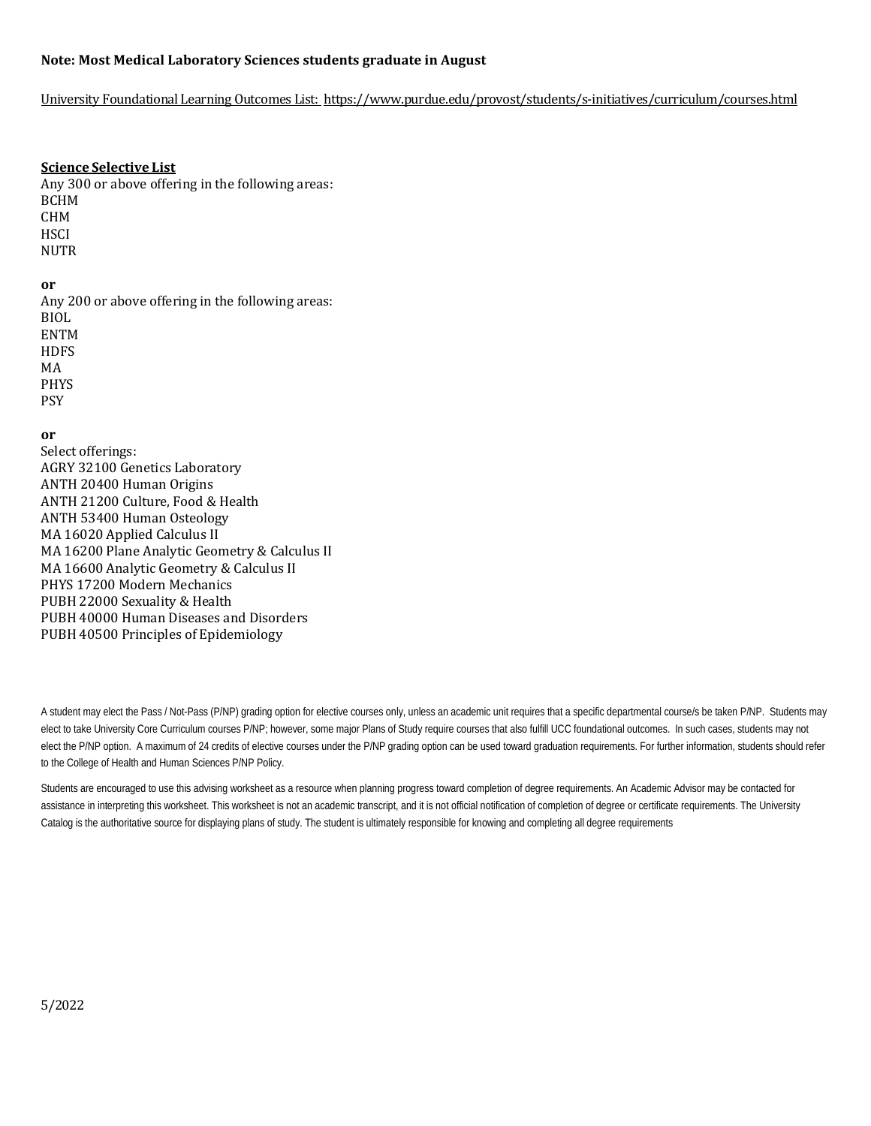### **Note: Most Medical Laboratory Sciences students graduate in August**

### University Foundational Learning Outcomes List:<https://www.purdue.edu/provost/students/s-initiatives/curriculum/courses.html>

### **Science Selective List**

Any 300 or above offering in the following areas: BCHM CHM **HSCI** NUTR

# **or**

Any 200 or above offering in the following areas: BIOL ENTM **HDFS** MA PHYS PSY

# **or**

Select offerings: AGRY 32100 Genetics Laboratory ANTH 20400 Human Origins ANTH 21200 Culture, Food & Health ANTH 53400 Human Osteology MA 16020 Applied Calculus II MA 16200 Plane Analytic Geometry & Calculus II MA 16600 Analytic Geometry & Calculus II PHYS 17200 Modern Mechanics PUBH 22000 Sexuality & Health PUBH 40000 Human Diseases and Disorders PUBH 40500 Principles of Epidemiology

A student may elect the Pass / Not-Pass (P/NP) grading option for elective courses only, unless an academic unit requires that a specific departmental course/s be taken P/NP. Students may elect to take University Core Curriculum courses P/NP; however, some major Plans of Study require courses that also fulfill UCC foundational outcomes. In such cases, students may not elect the P/NP option. A maximum of 24 credits of elective courses under the P/NP grading option can be used toward graduation requirements. For further information, students should refer to the College of Health and Human Sciences P/NP Policy.

Students are encouraged to use this advising worksheet as a resource when planning progress toward completion of degree requirements. An Academic Advisor may be contacted for assistance in interpreting this worksheet. This worksheet is not an academic transcript, and it is not official notification of completion of degree or certificate requirements. The University Catalog is the authoritative source for displaying plans of study. The student is ultimately responsible for knowing and completing all degree requirements